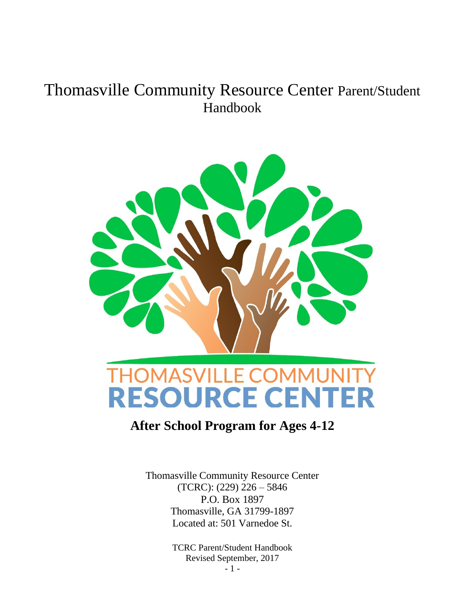# Thomasville Community Resource Center Parent/Student Handbook



## **After School Program for Ages 4-12**

Thomasville Community Resource Center (TCRC): (229) 226 – 5846 P.O. Box 1897 Thomasville, GA 31799-1897 Located at: 501 Varnedoe St.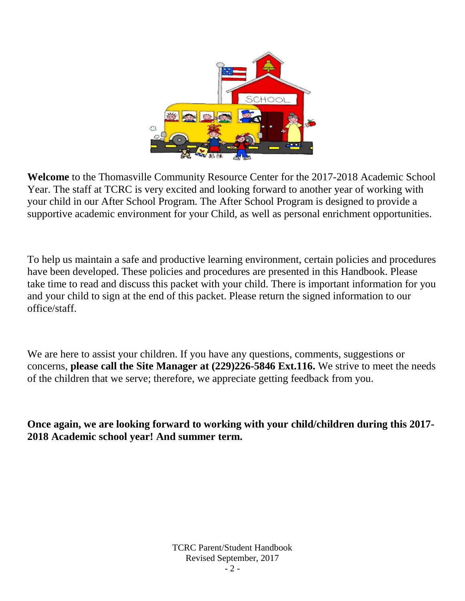

**Welcome** to the Thomasville Community Resource Center for the 2017-2018 Academic School Year. The staff at TCRC is very excited and looking forward to another year of working with your child in our After School Program. The After School Program is designed to provide a supportive academic environment for your Child, as well as personal enrichment opportunities.

To help us maintain a safe and productive learning environment, certain policies and procedures have been developed. These policies and procedures are presented in this Handbook. Please take time to read and discuss this packet with your child. There is important information for you and your child to sign at the end of this packet. Please return the signed information to our office/staff.

We are here to assist your children. If you have any questions, comments, suggestions or concerns, **please call the Site Manager at (229)226-5846 Ext.116.** We strive to meet the needs of the children that we serve; therefore, we appreciate getting feedback from you.

**Once again, we are looking forward to working with your child/children during this 2017- 2018 Academic school year! And summer term.**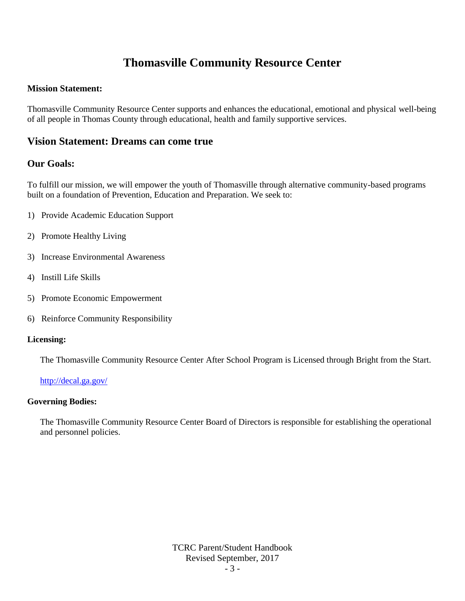## **Thomasville Community Resource Center**

#### **Mission Statement:**

Thomasville Community Resource Center supports and enhances the educational, emotional and physical well-being of all people in Thomas County through educational, health and family supportive services.

## **Vision Statement: Dreams can come true**

## **Our Goals:**

To fulfill our mission, we will empower the youth of Thomasville through alternative community-based programs built on a foundation of Prevention, Education and Preparation. We seek to:

- 1) Provide Academic Education Support
- 2) Promote Healthy Living
- 3) Increase Environmental Awareness
- 4) Instill Life Skills
- 5) Promote Economic Empowerment
- 6) Reinforce Community Responsibility

#### **Licensing:**

The Thomasville Community Resource Center After School Program is Licensed through Bright from the Start.

<http://decal.ga.gov/>

#### **Governing Bodies:**

The Thomasville Community Resource Center Board of Directors is responsible for establishing the operational and personnel policies.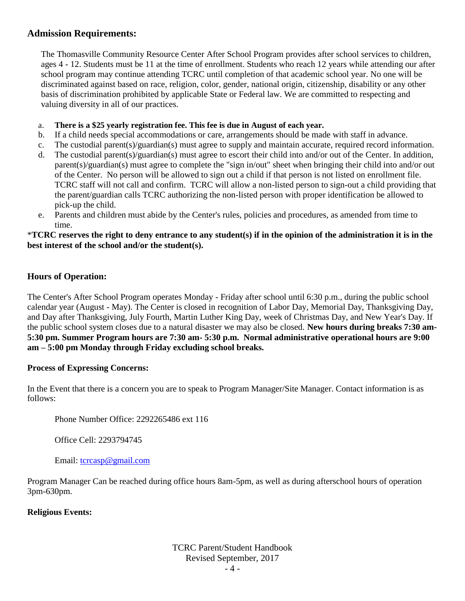## **Admission Requirements:**

The Thomasville Community Resource Center After School Program provides after school services to children, ages 4 - 12. Students must be 11 at the time of enrollment. Students who reach 12 years while attending our after school program may continue attending TCRC until completion of that academic school year. No one will be discriminated against based on race, religion, color, gender, national origin, citizenship, disability or any other basis of discrimination prohibited by applicable State or Federal law. We are committed to respecting and valuing diversity in all of our practices.

- a. **There is a \$25 yearly registration fee. This fee is due in August of each year.**
- b. If a child needs special accommodations or care, arrangements should be made with staff in advance.
- c. The custodial parent(s)/guardian(s) must agree to supply and maintain accurate, required record information.
- d. The custodial parent(s)/guardian(s) must agree to escort their child into and/or out of the Center. In addition, parent(s)/guardian(s) must agree to complete the "sign in/out" sheet when bringing their child into and/or out of the Center. No person will be allowed to sign out a child if that person is not listed on enrollment file. TCRC staff will not call and confirm. TCRC will allow a non-listed person to sign-out a child providing that the parent/guardian calls TCRC authorizing the non-listed person with proper identification be allowed to pick-up the child.
- e. Parents and children must abide by the Center's rules, policies and procedures, as amended from time to time.

#### \***TCRC reserves the right to deny entrance to any student(s) if in the opinion of the administration it is in the best interest of the school and/or the student(s).**

## **Hours of Operation:**

The Center's After School Program operates Monday - Friday after school until 6:30 p.m., during the public school calendar year (August - May). The Center is closed in recognition of Labor Day, Memorial Day, Thanksgiving Day, and Day after Thanksgiving, July Fourth, Martin Luther King Day, week of Christmas Day, and New Year's Day. If the public school system closes due to a natural disaster we may also be closed. **New hours during breaks 7:30 am-5:30 pm. Summer Program hours are 7:30 am- 5:30 p.m. Normal administrative operational hours are 9:00 am – 5:00 pm Monday through Friday excluding school breaks.**

#### **Process of Expressing Concerns:**

In the Event that there is a concern you are to speak to Program Manager/Site Manager. Contact information is as follows:

Phone Number Office: 2292265486 ext 116

Office Cell: 2293794745

Email: [tcrcasp@gmail.com](mailto:tcrcasp@gmail.com)

Program Manager Can be reached during office hours 8am-5pm, as well as during afterschool hours of operation 3pm-630pm.

#### **Religious Events:**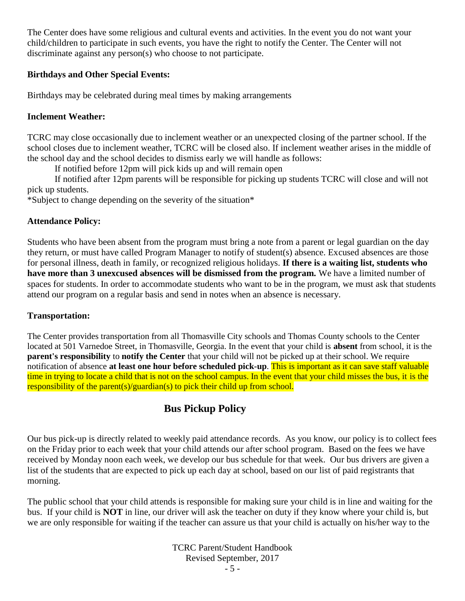The Center does have some religious and cultural events and activities. In the event you do not want your child/children to participate in such events, you have the right to notify the Center. The Center will not discriminate against any person(s) who choose to not participate.

## **Birthdays and Other Special Events:**

Birthdays may be celebrated during meal times by making arrangements

## **Inclement Weather:**

TCRC may close occasionally due to inclement weather or an unexpected closing of the partner school. If the school closes due to inclement weather, TCRC will be closed also. If inclement weather arises in the middle of the school day and the school decides to dismiss early we will handle as follows:

If notified before 12pm will pick kids up and will remain open

If notified after 12pm parents will be responsible for picking up students TCRC will close and will not pick up students.

\*Subject to change depending on the severity of the situation\*

## **Attendance Policy:**

Students who have been absent from the program must bring a note from a parent or legal guardian on the day they return, or must have called Program Manager to notify of student(s) absence. Excused absences are those for personal illness, death in family, or recognized religious holidays. **If there is a waiting list, students who have more than 3 unexcused absences will be dismissed from the program.** We have a limited number of spaces for students. In order to accommodate students who want to be in the program, we must ask that students attend our program on a regular basis and send in notes when an absence is necessary.

## **Transportation:**

The Center provides transportation from all Thomasville City schools and Thomas County schools to the Center located at 501 Varnedoe Street, in Thomasville, Georgia. In the event that your child is **absent** from school, it is the **parent's responsibility** to **notify the Center** that your child will not be picked up at their school. We require notification of absence **at least one hour before scheduled pick-up**. This is important as it can save staff valuable time in trying to locate a child that is not on the school campus. In the event that your child misses the bus, it is the responsibility of the parent(s)/guardian(s) to pick their child up from school.

## **Bus Pickup Policy**

Our bus pick-up is directly related to weekly paid attendance records. As you know, our policy is to collect fees on the Friday prior to each week that your child attends our after school program. Based on the fees we have received by Monday noon each week, we develop our bus schedule for that week. Our bus drivers are given a list of the students that are expected to pick up each day at school, based on our list of paid registrants that morning.

The public school that your child attends is responsible for making sure your child is in line and waiting for the bus. If your child is **NOT** in line, our driver will ask the teacher on duty if they know where your child is, but we are only responsible for waiting if the teacher can assure us that your child is actually on his/her way to the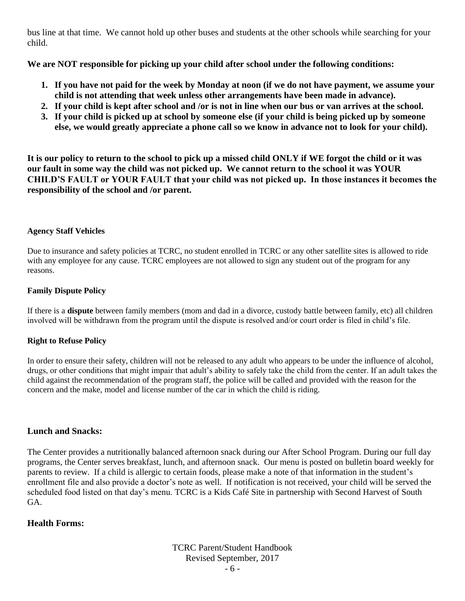bus line at that time. We cannot hold up other buses and students at the other schools while searching for your child.

**We are NOT responsible for picking up your child after school under the following conditions:**

- **1. If you have not paid for the week by Monday at noon (if we do not have payment, we assume your child is not attending that week unless other arrangements have been made in advance).**
- **2. If your child is kept after school and /or is not in line when our bus or van arrives at the school.**
- **3. If your child is picked up at school by someone else (if your child is being picked up by someone else, we would greatly appreciate a phone call so we know in advance not to look for your child).**

**It is our policy to return to the school to pick up a missed child ONLY if WE forgot the child or it was our fault in some way the child was not picked up. We cannot return to the school it was YOUR CHILD'S FAULT or YOUR FAULT that your child was not picked up. In those instances it becomes the responsibility of the school and /or parent.**

#### **Agency Staff Vehicles**

Due to insurance and safety policies at TCRC, no student enrolled in TCRC or any other satellite sites is allowed to ride with any employee for any cause. TCRC employees are not allowed to sign any student out of the program for any reasons.

#### **Family Dispute Policy**

If there is a **dispute** between family members (mom and dad in a divorce, custody battle between family, etc) all children involved will be withdrawn from the program until the dispute is resolved and/or court order is filed in child's file.

## **Right to Refuse Policy**

In order to ensure their safety, children will not be released to any adult who appears to be under the influence of alcohol, drugs, or other conditions that might impair that adult's ability to safely take the child from the center. If an adult takes the child against the recommendation of the program staff, the police will be called and provided with the reason for the concern and the make, model and license number of the car in which the child is riding.

## **Lunch and Snacks:**

The Center provides a nutritionally balanced afternoon snack during our After School Program. During our full day programs, the Center serves breakfast, lunch, and afternoon snack. Our menu is posted on bulletin board weekly for parents to review. If a child is allergic to certain foods, please make a note of that information in the student's enrollment file and also provide a doctor's note as well. If notification is not received, your child will be served the scheduled food listed on that day's menu. TCRC is a Kids Café Site in partnership with Second Harvest of South GA.

## **Health Forms:**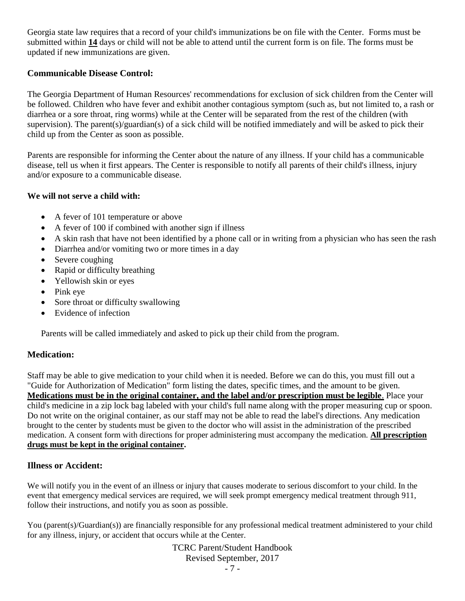Georgia state law requires that a record of your child's immunizations be on file with the Center. Forms must be submitted within **14** days or child will not be able to attend until the current form is on file. The forms must be updated if new immunizations are given.

## **Communicable Disease Control:**

The Georgia Department of Human Resources' recommendations for exclusion of sick children from the Center will be followed. Children who have fever and exhibit another contagious symptom (such as, but not limited to, a rash or diarrhea or a sore throat, ring worms) while at the Center will be separated from the rest of the children (with supervision). The parent(s)/guardian(s) of a sick child will be notified immediately and will be asked to pick their child up from the Center as soon as possible.

Parents are responsible for informing the Center about the nature of any illness. If your child has a communicable disease, tell us when it first appears. The Center is responsible to notify all parents of their child's illness, injury and/or exposure to a communicable disease.

## **We will not serve a child with:**

- A fever of 101 temperature or above
- A fever of 100 if combined with another sign if illness
- A skin rash that have not been identified by a phone call or in writing from a physician who has seen the rash
- Diarrhea and/or vomiting two or more times in a day
- Severe coughing
- Rapid or difficulty breathing
- Yellowish skin or eyes
- Pink eye
- Sore throat or difficulty swallowing
- Evidence of infection

Parents will be called immediately and asked to pick up their child from the program.

## **Medication:**

Staff may be able to give medication to your child when it is needed. Before we can do this, you must fill out a "Guide for Authorization of Medication" form listing the dates, specific times, and the amount to be given. **Medications must be in the original container, and the label and/or prescription must be legible**. Place your child's medicine in a zip lock bag labeled with your child's full name along with the proper measuring cup or spoon. Do not write on the original container, as our staff may not be able to read the label's directions. Any medication brought to the center by students must be given to the doctor who will assist in the administration of the prescribed medication. A consent form with directions for proper administering must accompany the medication. **All prescription drugs must be kept in the original container.**

## **Illness or Accident:**

We will notify you in the event of an illness or injury that causes moderate to serious discomfort to your child. In the event that emergency medical services are required, we will seek prompt emergency medical treatment through 911, follow their instructions, and notify you as soon as possible.

You (parent(s)/Guardian(s)) are financially responsible for any professional medical treatment administered to your child for any illness, injury, or accident that occurs while at the Center.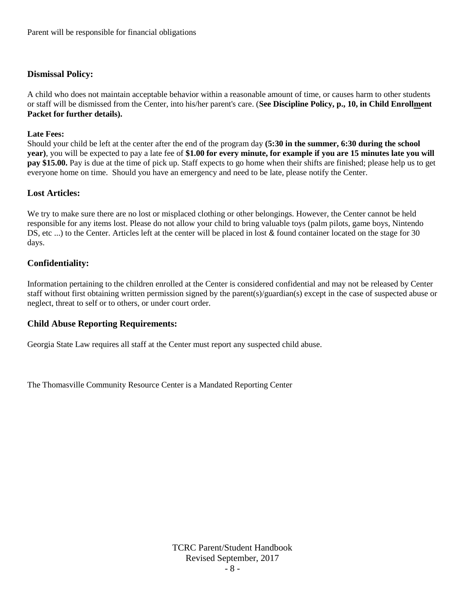#### **Dismissal Policy:**

A child who does not maintain acceptable behavior within a reasonable amount of time, or causes harm to other students or staff will be dismissed from the Center, into his/her parent's care. (**See Discipline Policy, p., 10, in Child Enrollment Packet for further details).**

#### **Late Fees:**

Should your child be left at the center after the end of the program day **(5:30 in the summer, 6:30 during the school year)**, you will be expected to pay a late fee of **\$1.00 for every minute, for example if you are 15 minutes late you will pay \$15.00.** Pay is due at the time of pick up. Staff expects to go home when their shifts are finished; please help us to get everyone home on time. Should you have an emergency and need to be late, please notify the Center.

#### **Lost Articles:**

We try to make sure there are no lost or misplaced clothing or other belongings. However, the Center cannot be held responsible for any items lost. Please do not allow your child to bring valuable toys (palm pilots, game boys, Nintendo DS, etc ...) to the Center. Articles left at the center will be placed in lost & found container located on the stage for 30 days.

#### **Confidentiality:**

Information pertaining to the children enrolled at the Center is considered confidential and may not be released by Center staff without first obtaining written permission signed by the parent(s)/guardian(s) except in the case of suspected abuse or neglect, threat to self or to others, or under court order.

#### **Child Abuse Reporting Requirements:**

Georgia State Law requires all staff at the Center must report any suspected child abuse.

The Thomasville Community Resource Center is a Mandated Reporting Center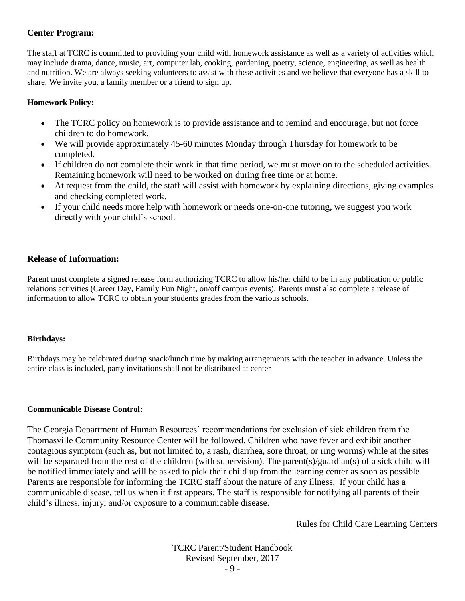## **Center Program:**

The staff at TCRC is committed to providing your child with homework assistance as well as a variety of activities which may include drama, dance, music, art, computer lab, cooking, gardening, poetry, science, engineering, as well as health and nutrition. We are always seeking volunteers to assist with these activities and we believe that everyone has a skill to share. We invite you, a family member or a friend to sign up.

#### **Homework Policy:**

- The TCRC policy on homework is to provide assistance and to remind and encourage, but not force children to do homework.
- We will provide approximately 45-60 minutes Monday through Thursday for homework to be completed.
- If children do not complete their work in that time period, we must move on to the scheduled activities. Remaining homework will need to be worked on during free time or at home.
- At request from the child, the staff will assist with homework by explaining directions, giving examples and checking completed work.
- If your child needs more help with homework or needs one-on-one tutoring, we suggest you work directly with your child's school.

## **Release of Information:**

Parent must complete a signed release form authorizing TCRC to allow his/her child to be in any publication or public relations activities (Career Day, Family Fun Night, on/off campus events). Parents must also complete a release of information to allow TCRC to obtain your students grades from the various schools.

#### **Birthdays:**

Birthdays may be celebrated during snack/lunch time by making arrangements with the teacher in advance. Unless the entire class is included, party invitations shall not be distributed at center

#### **Communicable Disease Control:**

The Georgia Department of Human Resources' recommendations for exclusion of sick children from the Thomasville Community Resource Center will be followed. Children who have fever and exhibit another contagious symptom (such as, but not limited to, a rash, diarrhea, sore throat, or ring worms) while at the sites will be separated from the rest of the children (with supervision). The parent(s)/guardian(s) of a sick child will be notified immediately and will be asked to pick their child up from the learning center as soon as possible. Parents are responsible for informing the TCRC staff about the nature of any illness. If your child has a communicable disease, tell us when it first appears. The staff is responsible for notifying all parents of their child's illness, injury, and/or exposure to a communicable disease.

Rules for Child Care Learning Centers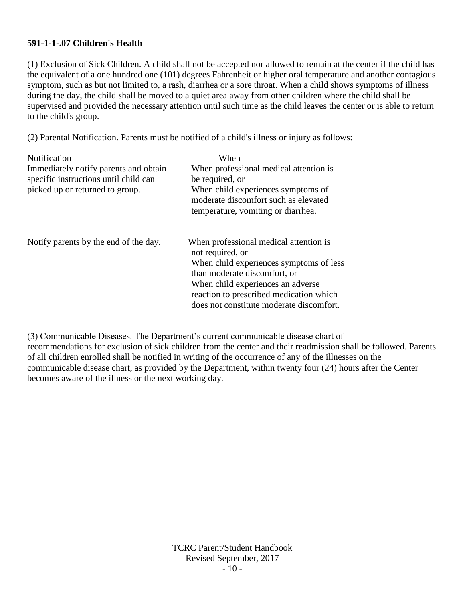#### **591-1-1-.07 Children's Health**

(1) Exclusion of Sick Children. A child shall not be accepted nor allowed to remain at the center if the child has the equivalent of a one hundred one (101) degrees Fahrenheit or higher oral temperature and another contagious symptom, such as but not limited to, a rash, diarrhea or a sore throat. When a child shows symptoms of illness during the day, the child shall be moved to a quiet area away from other children where the child shall be supervised and provided the necessary attention until such time as the child leaves the center or is able to return to the child's group.

(2) Parental Notification. Parents must be notified of a child's illness or injury as follows:

| Notification                          | When                                                       |
|---------------------------------------|------------------------------------------------------------|
| Immediately notify parents and obtain | When professional medical attention is                     |
| specific instructions until child can | be required, or                                            |
| picked up or returned to group.       | When child experiences symptoms of                         |
|                                       | moderate discomfort such as elevated                       |
|                                       | temperature, vomiting or diarrhea.                         |
| Notify parents by the end of the day. | When professional medical attention is<br>not required, or |
|                                       | When child experiences symptoms of less                    |
|                                       | than moderate discomfort, or                               |
|                                       | When child experiences an adverse                          |
|                                       | reaction to prescribed medication which                    |
|                                       | does not constitute moderate discomfort.                   |

(3) Communicable Diseases. The Department's current communicable disease chart of recommendations for exclusion of sick children from the center and their readmission shall be followed. Parents of all children enrolled shall be notified in writing of the occurrence of any of the illnesses on the communicable disease chart, as provided by the Department, within twenty four (24) hours after the Center becomes aware of the illness or the next working day.

> TCRC Parent/Student Handbook Revised September, 2017 - 10 -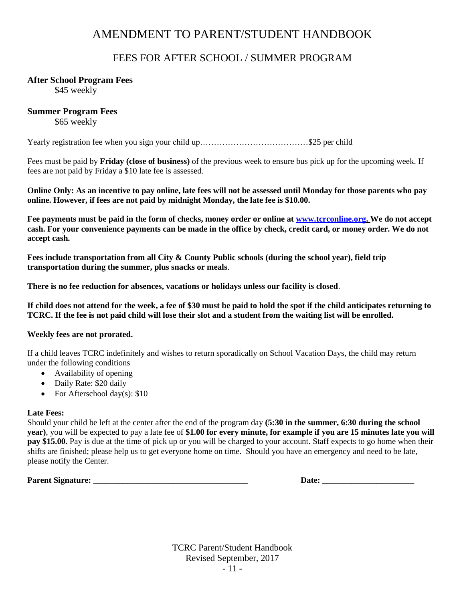## AMENDMENT TO PARENT/STUDENT HANDBOOK

## FEES FOR AFTER SCHOOL / SUMMER PROGRAM

#### **After School Program Fees**

\$45 weekly

#### **Summer Program Fees**

\$65 weekly

Yearly registration fee when you sign your child up…………………………………\$25 per child

Fees must be paid by **Friday (close of business)** of the previous week to ensure bus pick up for the upcoming week. If fees are not paid by Friday a \$10 late fee is assessed.

**Online Only: As an incentive to pay online, late fees will not be assessed until Monday for those parents who pay online. However, if fees are not paid by midnight Monday, the late fee is \$10.00.**

**Fee payments must be paid in the form of checks, money order or online at [www.tcrconline.org.](http://www.tcrconline.org/) We do not accept cash. For your convenience payments can be made in the office by check, credit card, or money order. We do not accept cash.** 

**Fees include transportation from all City & County Public schools (during the school year), field trip transportation during the summer, plus snacks or meals**.

**There is no fee reduction for absences, vacations or holidays unless our facility is closed**.

**If child does not attend for the week, a fee of \$30 must be paid to hold the spot if the child anticipates returning to TCRC. If the fee is not paid child will lose their slot and a student from the waiting list will be enrolled.** 

#### **Weekly fees are not prorated.**

If a child leaves TCRC indefinitely and wishes to return sporadically on School Vacation Days, the child may return under the following conditions

- Availability of opening
- Daily Rate: \$20 daily
- For Afterschool day(s):  $$10$

#### **Late Fees:**

Should your child be left at the center after the end of the program day **(5:30 in the summer, 6:30 during the school year)**, you will be expected to pay a late fee of **\$1.00 for every minute, for example if you are 15 minutes late you will pay \$15.00.** Pay is due at the time of pick up or you will be charged to your account. Staff expects to go home when their shifts are finished; please help us to get everyone home on time. Should you have an emergency and need to be late, please notify the Center.

**Parent Signature: \_\_\_\_\_\_\_\_\_\_\_\_\_\_\_\_\_\_\_\_\_\_\_\_\_\_\_\_\_\_\_\_\_\_\_\_\_ Date: \_\_\_\_\_\_\_\_\_\_\_\_\_\_\_\_\_\_\_\_\_\_**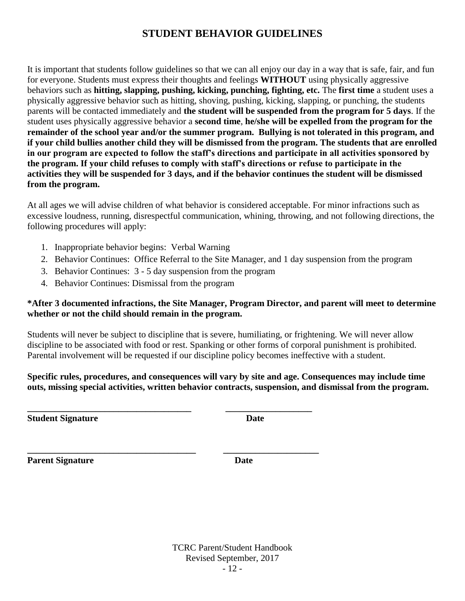## **STUDENT BEHAVIOR GUIDELINES**

It is important that students follow guidelines so that we can all enjoy our day in a way that is safe, fair, and fun for everyone. Students must express their thoughts and feelings **WITHOUT** using physically aggressive behaviors such as **hitting, slapping, pushing, kicking, punching, fighting, etc.** The **first time** a student uses a physically aggressive behavior such as hitting, shoving, pushing, kicking, slapping, or punching, the students parents will be contacted immediately and **the student will be suspended from the program for 5 days**. If the student uses physically aggressive behavior a **second time**, **he/she will be expelled from the program for the remainder of the school year and/or the summer program. Bullying is not tolerated in this program, and if your child bullies another child they will be dismissed from the program. The students that are enrolled in our program are expected to follow the staff's directions and participate in all activities sponsored by the program. If your child refuses to comply with staff's directions or refuse to participate in the activities they will be suspended for 3 days, and if the behavior continues the student will be dismissed from the program.**

At all ages we will advise children of what behavior is considered acceptable. For minor infractions such as excessive loudness, running, disrespectful communication, whining, throwing, and not following directions, the following procedures will apply:

- 1. Inappropriate behavior begins: Verbal Warning
- 2. Behavior Continues: Office Referral to the Site Manager, and 1 day suspension from the program
- 3. Behavior Continues: 3 5 day suspension from the program

**\_\_\_\_\_\_\_\_\_\_\_\_\_\_\_\_\_\_\_\_\_\_\_\_\_\_\_\_\_\_\_\_\_\_\_\_ \_\_\_\_\_\_\_\_\_\_\_\_\_\_\_\_\_\_\_**

**\_\_\_\_\_\_\_\_\_\_\_\_\_\_\_\_\_\_\_\_\_\_\_\_\_\_\_\_\_\_\_\_\_\_\_\_\_ \_\_\_\_\_\_\_\_\_\_\_\_\_\_\_\_\_\_\_\_\_**

4. Behavior Continues: Dismissal from the program

#### **\*After 3 documented infractions, the Site Manager, Program Director, and parent will meet to determine whether or not the child should remain in the program.**

Students will never be subject to discipline that is severe, humiliating, or frightening. We will never allow discipline to be associated with food or rest. Spanking or other forms of corporal punishment is prohibited. Parental involvement will be requested if our discipline policy becomes ineffective with a student.

**Specific rules, procedures, and consequences will vary by site and age. Consequences may include time outs, missing special activities, written behavior contracts, suspension, and dismissal from the program.**

**Student Signature Date** 

**Parent Signature Date**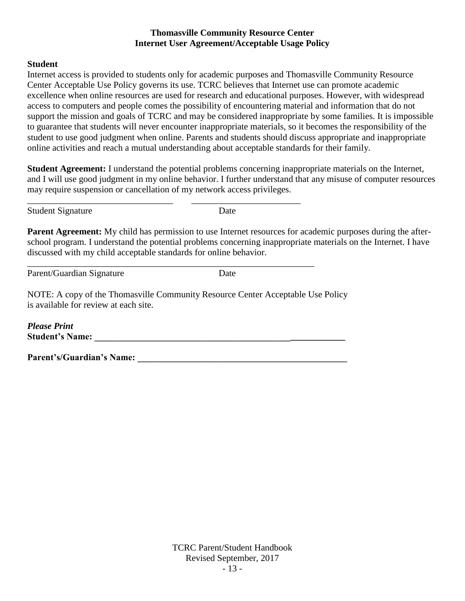#### **Thomasville Community Resource Center Internet User Agreement/Acceptable Usage Policy**

#### **Student**

Internet access is provided to students only for academic purposes and Thomasville Community Resource Center Acceptable Use Policy governs its use. TCRC believes that Internet use can promote academic excellence when online resources are used for research and educational purposes. However, with widespread access to computers and people comes the possibility of encountering material and information that do not support the mission and goals of TCRC and may be considered inappropriate by some families. It is impossible to guarantee that students will never encounter inappropriate materials, so it becomes the responsibility of the student to use good judgment when online. Parents and students should discuss appropriate and inappropriate online activities and reach a mutual understanding about acceptable standards for their family.

**Student Agreement:** I understand the potential problems concerning inappropriate materials on the Internet, and I will use good judgment in my online behavior. I further understand that any misuse of computer resources may require suspension or cancellation of my network access privileges.

Student Signature Date

**Parent Agreement:** My child has permission to use Internet resources for academic purposes during the afterschool program. I understand the potential problems concerning inappropriate materials on the Internet. I have discussed with my child acceptable standards for online behavior.

Parent/Guardian Signature Date

NOTE: A copy of the Thomasville Community Resource Center Acceptable Use Policy is available for review at each site.

\_\_\_\_\_\_\_\_\_\_\_\_\_\_\_\_\_\_\_\_\_\_\_\_\_\_\_\_\_\_\_\_ \_\_\_\_\_\_\_\_\_\_\_\_\_\_\_\_\_\_\_\_\_\_\_\_

\_\_\_\_\_\_\_\_\_\_\_\_\_\_\_\_\_\_\_\_\_\_\_\_\_\_\_\_\_\_\_\_\_\_\_\_\_\_\_\_\_\_\_\_\_\_\_\_\_\_\_\_\_\_\_\_\_\_\_\_\_\_\_

*Please Print* **Student's Name: \_\_\_\_\_\_\_\_\_\_\_\_\_\_\_\_\_\_\_\_\_\_\_\_\_\_\_\_\_\_\_\_\_\_\_\_\_\_\_\_\_\_\_\_\_\_\_\_\_\_\_\_\_\_\_**

Parent's/Guardian's Name: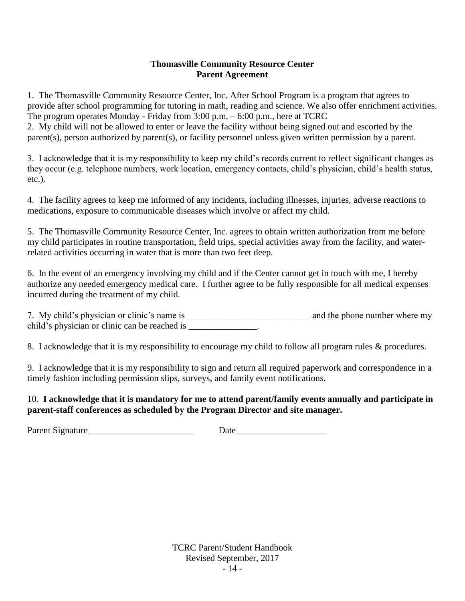## **Thomasville Community Resource Center Parent Agreement**

1. The Thomasville Community Resource Center, Inc. After School Program is a program that agrees to provide after school programming for tutoring in math, reading and science. We also offer enrichment activities. The program operates Monday - Friday from 3:00 p.m. – 6:00 p.m., here at TCRC

2. My child will not be allowed to enter or leave the facility without being signed out and escorted by the parent(s), person authorized by parent(s), or facility personnel unless given written permission by a parent.

3. I acknowledge that it is my responsibility to keep my child's records current to reflect significant changes as they occur (e.g. telephone numbers, work location, emergency contacts, child's physician, child's health status, etc.).

4. The facility agrees to keep me informed of any incidents, including illnesses, injuries, adverse reactions to medications, exposure to communicable diseases which involve or affect my child.

5. The Thomasville Community Resource Center, Inc. agrees to obtain written authorization from me before my child participates in routine transportation, field trips, special activities away from the facility, and waterrelated activities occurring in water that is more than two feet deep.

6. In the event of an emergency involving my child and if the Center cannot get in touch with me, I hereby authorize any needed emergency medical care. I further agree to be fully responsible for all medical expenses incurred during the treatment of my child.

7. My child's physician or clinic's name is \_\_\_\_\_\_\_\_\_\_\_\_\_\_\_\_\_\_\_\_\_\_\_\_\_\_\_ and the phone number where my child's physician or clinic can be reached is \_\_\_\_\_\_\_\_\_\_\_\_\_\_.

8. I acknowledge that it is my responsibility to encourage my child to follow all program rules & procedures.

9. I acknowledge that it is my responsibility to sign and return all required paperwork and correspondence in a timely fashion including permission slips, surveys, and family event notifications.

## 10. **I acknowledge that it is mandatory for me to attend parent/family events annually and participate in parent-staff conferences as scheduled by the Program Director and site manager.**

Parent Signature\_\_\_\_\_\_\_\_\_\_\_\_\_\_\_\_\_\_\_\_\_\_\_ Date\_\_\_\_\_\_\_\_\_\_\_\_\_\_\_\_\_\_\_\_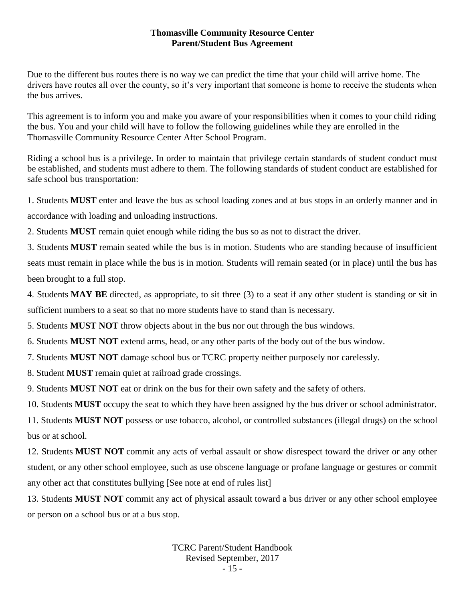#### **Thomasville Community Resource Center Parent/Student Bus Agreement**

Due to the different bus routes there is no way we can predict the time that your child will arrive home. The drivers have routes all over the county, so it's very important that someone is home to receive the students when the bus arrives.

This agreement is to inform you and make you aware of your responsibilities when it comes to your child riding the bus. You and your child will have to follow the following guidelines while they are enrolled in the Thomasville Community Resource Center After School Program.

Riding a school bus is a privilege. In order to maintain that privilege certain standards of student conduct must be established, and students must adhere to them. The following standards of student conduct are established for safe school bus transportation:

1. Students **MUST** enter and leave the bus as school loading zones and at bus stops in an orderly manner and in accordance with loading and unloading instructions.

2. Students **MUST** remain quiet enough while riding the bus so as not to distract the driver.

3. Students **MUST** remain seated while the bus is in motion. Students who are standing because of insufficient seats must remain in place while the bus is in motion. Students will remain seated (or in place) until the bus has been brought to a full stop.

4. Students **MAY BE** directed, as appropriate, to sit three (3) to a seat if any other student is standing or sit in sufficient numbers to a seat so that no more students have to stand than is necessary.

5. Students **MUST NOT** throw objects about in the bus nor out through the bus windows.

6. Students **MUST NOT** extend arms, head, or any other parts of the body out of the bus window.

7. Students **MUST NOT** damage school bus or TCRC property neither purposely nor carelessly.

8. Student **MUST** remain quiet at railroad grade crossings.

9. Students **MUST NOT** eat or drink on the bus for their own safety and the safety of others.

10. Students **MUST** occupy the seat to which they have been assigned by the bus driver or school administrator.

11. Students **MUST NOT** possess or use tobacco, alcohol, or controlled substances (illegal drugs) on the school bus or at school.

12. Students **MUST NOT** commit any acts of verbal assault or show disrespect toward the driver or any other student, or any other school employee, such as use obscene language or profane language or gestures or commit any other act that constitutes bullying [See note at end of rules list]

13. Students **MUST NOT** commit any act of physical assault toward a bus driver or any other school employee or person on a school bus or at a bus stop.

> TCRC Parent/Student Handbook Revised September, 2017 - 15 -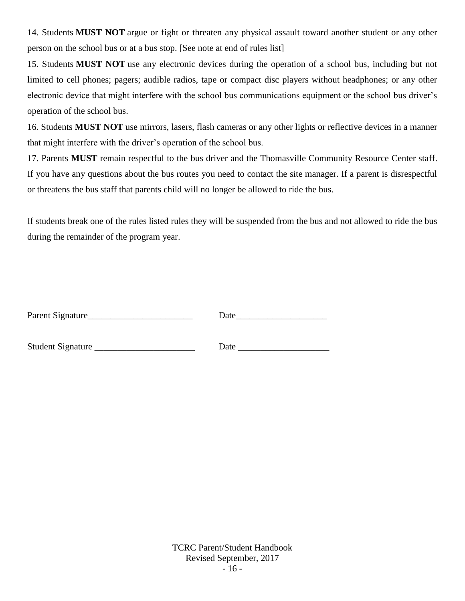14. Students **MUST NOT** argue or fight or threaten any physical assault toward another student or any other person on the school bus or at a bus stop. [See note at end of rules list]

15. Students **MUST NOT** use any electronic devices during the operation of a school bus, including but not limited to cell phones; pagers; audible radios, tape or compact disc players without headphones; or any other electronic device that might interfere with the school bus communications equipment or the school bus driver's operation of the school bus.

16. Students **MUST NOT** use mirrors, lasers, flash cameras or any other lights or reflective devices in a manner that might interfere with the driver's operation of the school bus.

17. Parents **MUST** remain respectful to the bus driver and the Thomasville Community Resource Center staff. If you have any questions about the bus routes you need to contact the site manager. If a parent is disrespectful or threatens the bus staff that parents child will no longer be allowed to ride the bus.

If students break one of the rules listed rules they will be suspended from the bus and not allowed to ride the bus during the remainder of the program year.

| Parent Signature |  |
|------------------|--|
|                  |  |

Student Signature \_\_\_\_\_\_\_\_\_\_\_\_\_\_\_\_\_\_\_\_\_\_ Date \_\_\_\_\_\_\_\_\_\_\_\_\_\_\_\_\_\_\_\_

TCRC Parent/Student Handbook Revised September, 2017 - 16 -